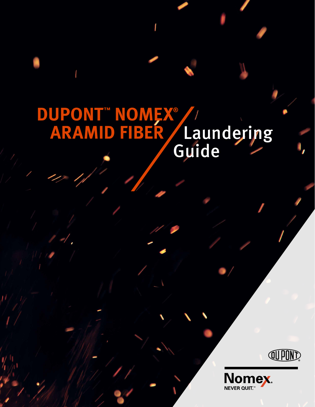# **DUPONT™ NOMEX® ARAMID FIBER / Laundering** Laundering<br>Guide



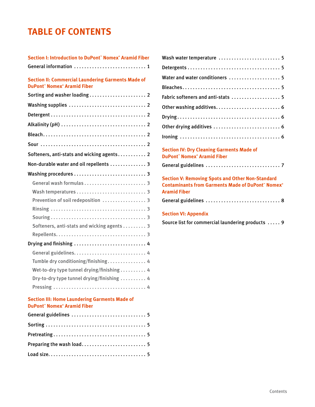## **TABLE OF CONTENTS**

| Section I: Introduction to DuPont" Nomex® Aramid Fiber                                                     |
|------------------------------------------------------------------------------------------------------------|
| General information  1                                                                                     |
| <b>Section II: Commercial Laundering Garments Made of</b><br><b>DuPont" Nomex<sup>®</sup> Aramid Fiber</b> |
|                                                                                                            |
|                                                                                                            |
|                                                                                                            |
|                                                                                                            |
|                                                                                                            |
|                                                                                                            |
| Softeners, anti-stats and wicking agents 2                                                                 |
| Non-durable water and oil repellents  3                                                                    |
|                                                                                                            |
|                                                                                                            |
|                                                                                                            |
| Prevention of soil redeposition  3                                                                         |
|                                                                                                            |
|                                                                                                            |
| Softeners, anti-stats and wicking agents 3                                                                 |
|                                                                                                            |
| Drying and finishing  4                                                                                    |
|                                                                                                            |
| Tumble dry conditioning/finishing 4                                                                        |
| Wet-to-dry type tunnel drying/finishing 4                                                                  |
| Dry-to-dry type tunnel drying/finishing  4                                                                 |
|                                                                                                            |
| <b>Section III: Home Laundering Garments Made of</b><br><b>DuPont" Nomex<sup>®</sup> Aramid Fiber</b>      |
| General guidelines  5                                                                                      |
|                                                                                                            |
|                                                                                                            |
| Preparing the wash load 5                                                                                  |
|                                                                                                            |

| Wash water temperature  5                                                                                                           |
|-------------------------------------------------------------------------------------------------------------------------------------|
|                                                                                                                                     |
| Water and water conditioners  5                                                                                                     |
|                                                                                                                                     |
| Fabric softeners and anti-stats  5                                                                                                  |
|                                                                                                                                     |
|                                                                                                                                     |
|                                                                                                                                     |
|                                                                                                                                     |
| <b>Section IV: Dry Cleaning Garments Made of</b><br><b>DuPont" Nomex<sup>®</sup> Aramid Fiber</b>                                   |
|                                                                                                                                     |
| <b>Section V: Removing Spots and Other Non-Standard</b><br><b>Contaminants from Garments Made of DuPont" Nomex®</b><br>Aramid Fiber |

| General guidelines  8 |  |  |  |  |  |  |  |  |  |  |  |  |  |  |  |  |  |  |  |  |  |  |  |  |  |  |  |
|-----------------------|--|--|--|--|--|--|--|--|--|--|--|--|--|--|--|--|--|--|--|--|--|--|--|--|--|--|--|
|-----------------------|--|--|--|--|--|--|--|--|--|--|--|--|--|--|--|--|--|--|--|--|--|--|--|--|--|--|--|

### **Section VI: Appendix**

Source list for commercial laundering products ..... 9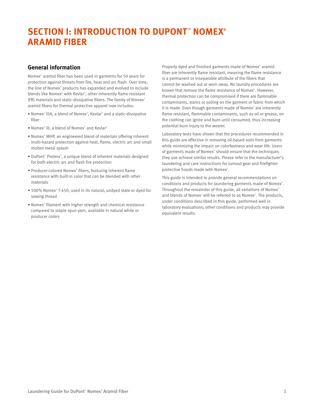## **SECTION I: INTRODUCTION TO DUPONT™ NOMEX® ARAMID FIBER**

#### **General information**

Nomex® aramid fiber has been used in garments for 50 years for protection against threats from fire, heat and arc flash. Over time, the line of Nomex® products has expanded and evolved to include blends like Nomex® with Kevlar® , other inherently flame resistant (FR) materials and static-dissipative fibers. The family of Nomex® aramid fibers for thermal protective apparel now includes:

- Nomex<sup>®</sup> IIIA, a blend of Nomex®, Kevlar® and a static-dissipative fiber
- Nomex<sup>®</sup> III, a blend of Nomex<sup>®</sup> and Kevlar<sup>®</sup>
- Nomex® MHP, an engineered blend of materials offering inherent multi-hazard protection against heat, flame, electric arc and small molten metal splash
- DuPont™ Protera® , a unique blend of inherent materials designed for both electric arc and flash fire protection
- Producer-colored Nomex® fibers, featuring inherent flame resistance with built-in color that can be blended with other materials
- 100% Nomex® T-450, used in its natural, undyed state or dyed for sewing thread
- Nomex® filament with higher strength and chemical resistance compared to staple spun yarn, available in natural white or producer colors

Properly dyed and finished garments made of Nomex® aramid fiber are inherently flame resistant, meaning the flame resistance is a permanent or inseparable attribute of the fibers that cannot be washed out or worn away. No laundry procedures are known that remove the flame resistance of Nomex®. However, thermal protection can be compromised if there are flammable contaminants, stains or soiling on the garment or fabric from which it is made. Even though garments made of Nomex® are inherently flame resistant, flammable contaminants, such as oil or grease, on the clothing can ignite and burn until consumed, thus increasing potential burn injury to the wearer.

Laboratory tests have shown that the procedures recommended in this guide are effective in removing oil-based soils from garments while minimizing the impact on colorfastness and wear life. Users of garments made of Nomex® should ensure that the techniques they use achieve similar results. Please refer to the manufacturer's laundering and care instructions for turnout gear and firefighter protective hoods made with Nomex®.

This guide is intended to provide general recommendations on conditions and products for laundering garments made of Nomex<sup>®</sup>. Throughout the remainder of this guide, all variations of Nomex® and blends of Nomex® will be referred to as Nomex®. The products, under conditions described in this guide, performed well in laboratory evaluations; other conditions and products may provide equivalent results.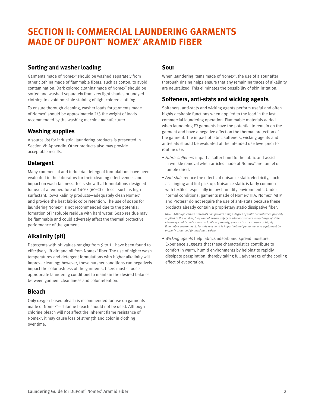## **SECTION II: COMMERCIAL LAUNDERING GARMENTS MADE OF DUPONT™ NOMEX® ARAMID FIBER**

#### **Sorting and washer loading**

Garments made of Nomex® should be washed separately from other clothing made of flammable fibers, such as cotton, to avoid contamination. Dark colored clothing made of Nomex<sup>®</sup> should be sorted and washed separately from very light shades or undyed clothing to avoid possible staining of light colored clothing.

To ensure thorough cleaning, washer loads for garments made of Nomex® should be approximately 2/3 the weight of loads recommended by the washing machine manufacturer.

## **Washing supplies**

A source list for industrial laundering products is presented in Section VI: Appendix. Other products also may provide acceptable results.

## **Detergent**

Many commercial and industrial detergent formulations have been evaluated in the laboratory for their cleaning effectiveness and impact on wash-fastness. Tests show that formulations designed for use at a temperature of 140°F (60°C) or less—such as high surfactant, low-alkalinity products—adequately clean Nomex® and provide the best fabric color retention. The use of soaps for laundering Nomex® is not recommended due to the potential formation of insoluble residue with hard water. Soap residue may be flammable and could adversely affect the thermal protective performance of the garment.

## **Alkalinity (pH)**

Detergents with pH values ranging from 9 to 11 have been found to effectively lift dirt and oil from Nomex® fiber. The use of higher wash temperatures and detergent formulations with higher alkalinity will improve cleaning; however, these harsher conditions can negatively impact the colorfastness of the garments. Users must choose appropriate laundering conditions to maintain the desired balance between garment cleanliness and color retention.

## **Bleach**

Only oxygen-based bleach is recommended for use on garments made of Nomex® —chlorine bleach should not be used. Although chlorine bleach will not affect the inherent flame resistance of Nomex® , it may cause loss of strength and color in clothing over time.

#### **Sour**

When laundering items made of Nomex® , the use of a sour after thorough rinsing helps ensure that any remaining traces of alkalinity are neutralized. This eliminates the possibility of skin irritation.

### **Softeners, anti-stats and wicking agents**

Softeners, anti-stats and wicking agents perform useful and often highly desirable functions when applied to the load in the last commercial laundering operation. Flammable materials added when laundering FR garments have the potential to remain on the garment and have a negative effect on the thermal protection of the garment. The impact of fabric softeners, wicking agents and anti-stats should be evaluated at the intended use level prior to routine use.

- *Fabric softeners* impart a softer hand to the fabric and assist in wrinkle removal when articles made of Nomex® are tunnel or tumble dried.
- *Anti-stats* reduce the effects of nuisance static electricity, such as clinging and lint pick-up. Nuisance static is fairly common with textiles, especially in low-humidity environments. Under normal conditions, garments made of Nomex® IIIA, Nomex® MHP and Protera® do not require the use of anti-stats because these products already contain a proprietary static-dissipative fiber.

 *NOTE: Although certain anti-stats can provide a high degree of static control when properly applied in the washer, they cannot ensure safety in situations where a discharge of static electricity could create a hazard to life or property, such as in an explosive or highly flammable environment. For this reason, it is important that personnel and equipment be properly grounded for maximum safety.*

• *Wicking agents* help fabrics adsorb and spread moisture. Experience suggests that these characteristics contribute to comfort in warm, humid environments by helping to rapidly dissipate perspiration, thereby taking full advantage of the cooling effect of evaporation.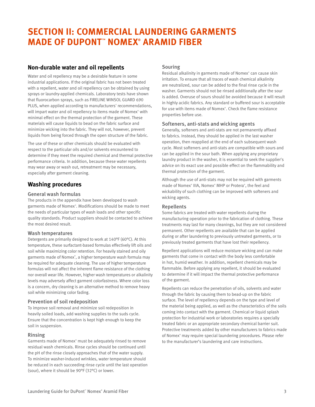## **SECTION II: COMMERCIAL LAUNDERING GARMENTS MADE OF DUPONT™ NOMEX® ARAMID FIBER**

#### **Non-durable water and oil repellents**

Water and oil repellency may be a desirable feature in some industrial applications. If the original fabric has not been treated with a repellent, water and oil repellency can be obtained by using sprays or laundry-applied chemicals. Laboratory tests have shown that fluorocarbon sprays, such as FIRELINE WINSOL GUARD 690 PLUS, when applied according to manufacturers' recommendations, will impart water and oil repellency to items made of Nomex<sup>®</sup> with minimal effect on the thermal protection of the garment. These materials will cause liquids to bead on the fabric surface and minimize wicking into the fabric. They will not, however, prevent liquids from being forced through the open structure of the fabric.

The use of these or other chemicals should be evaluated with respect to the particular oils and/or solvents encountered to determine if they meet the required chemical and thermal protective performance criteria. In addition, because these water repellents may wear away or wash out, retreatment may be necessary, especially after garment cleaning.

#### **Washing procedures**

#### General wash formulas

The products in the appendix have been developed to wash garments made of Nomex® . Modifications should be made to meet the needs of particular types of wash loads and other specific quality standards. Product suppliers should be contacted to achieve the most desired result.

#### Wash temperatures

Detergents are primarily designed to work at 140°F (60°C). At this temperature, these surfactant-based formulas effectively lift oils and soil while maximizing color retention. For heavily stained and oily garments made of Nomex® , a higher temperature wash formula may be required for adequate cleaning. The use of higher temperature formulas will not affect the inherent flame resistance of the clothing nor overall wear life. However, higher wash temperatures or alkalinity levels may adversely affect garment colorfastness. Where color loss is a concern, dry cleaning is an alternative method to remove heavy soil while minimizing color fading.

#### Prevention of soil redeposition

To improve soil removal and minimize soil redeposition in heavily soiled loads, add washing supplies to the suds cycle. Ensure that the concentration is kept high enough to keep the soil in suspension.

#### Rinsing

Garments made of Nomex® must be adequately rinsed to remove residual wash chemicals. Rinse cycles should be continued until the pH of the rinse closely approaches that of the water supply. To minimize washer-induced wrinkles, water temperature should be reduced in each succeeding rinse cycle until the last operation (sour), where it should be 90°F (32°C) or lower.

#### Souring

Residual alkalinity in garments made of Nomex® can cause skin irritation. To ensure that all traces of wash chemical alkalinity are neutralized, sour can be added to the final rinse cycle in the washer. Garments should not be rinsed additionally after the sour is added. Overuse of sours should be avoided because it will result in highly acidic fabrics. Any standard or buffered sour is acceptable for use with items made of Nomex® . Check the flame resistance properties before use.

#### Softeners, anti-stats and wicking agents

Generally, softeners and anti-stats are not permanently affixed to fabrics. Instead, they should be applied in the last washer operation, then reapplied at the end of each subsequent wash cycle. Most softeners and anti-stats are compatible with sours and can be applied in the sour bath. When applying any proprietary laundry product in the washer, it is essential to seek the supplier's advice on its exact use and possible effect on the flammability and thermal protection of the garment.

Although the use of anti-stats may not be required with garments made of Nomex® IIIA, Nomex® MHP or Protera® , the feel and wickability of such clothing can be improved with softeners and wicking agents.

#### Repellents

Some fabrics are treated with water repellents during the manufacturing operation prior to the fabrication of clothing. These treatments may last for many cleanings, but they are not considered permanent. Other repellents are available that can be applied during or after laundering to previously untreated garments, or to previously treated garments that have lost their repellency.

Repellent applications will reduce moisture wicking and can make garments that come in contact with the body less comfortable in hot, humid weather. In addition, repellent chemicals may be flammable. Before applying any repellent, it should be evaluated to determine if it will impact the thermal protective performance of the garment.

Repellents can reduce the penetration of oils, solvents and water through the fabric by causing them to bead-up on the fabric surface. The level of repellency depends on the type and level of the material being applied, as well as the characteristics of the soils coming into contact with the garment. Chemical or liquid splash protection for industrial work or laboratories requires a specially treated fabric or an appropriate secondary chemical barrier suit. Protective treatments added by other manufacturers to fabrics made of Nomex® may require special laundering procedures. Please refer to the manufacturer's laundering and care instructions.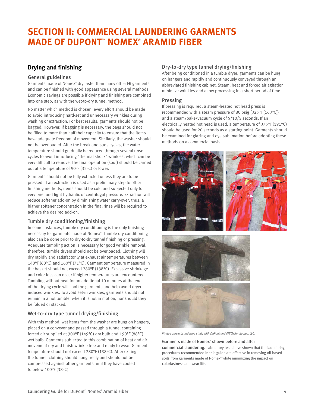## **SECTION II: COMMERCIAL LAUNDERING GARMENTS MADE OF DUPONT™ NOMEX® ARAMID FIBER**

### **Drying and finishing**

#### General guidelines

Garments made of Nomex<sup>®</sup> dry faster than many other FR garments and can be finished with good appearance using several methods. Economic savings are possible if drying and finishing are combined into one step, as with the wet-to-dry tunnel method.

No matter which method is chosen, every effort should be made to avoid introducing hard-set and unnecessary wrinkles during washing or extraction. For best results, garments should not be bagged. However, if bagging is necessary, the bags should not be filled to more than half their capacity to ensure that the items have adequate freedom of movement. Similarly, the washer should not be overloaded. After the break and suds cycles, the water temperature should gradually be reduced through several rinse cycles to avoid introducing "thermal shock" wrinkles, which can be very difficult to remove. The final operation (sour) should be carried out at a temperature of 90°F (32°C) or lower.

Garments should not be fully extracted unless they are to be pressed. If an extraction is used as a preliminary step to other finishing methods, items should be cold and subjected only to very brief and light hydraulic or centrifugal pressure. Extraction will reduce softener add-on by diminishing water carry-over; thus, a higher softener concentration in the final rinse will be required to achieve the desired add-on.

#### Tumble dry conditioning/finishing

In some instances, tumble dry conditioning is the only finishing necessary for garments made of Nomex® . Tumble dry conditioning also can be done prior to dry-to-dry tunnel finishing or pressing. Adequate tumbling action is necessary for good wrinkle removal; therefore, tumble dryers should not be overloaded. Clothing will dry rapidly and satisfactorily at exhaust air temperatures between 140°F (60°C) and 160°F (71°C). Garment temperature measured in the basket should not exceed 280°F (138°C). Excessive shrinkage and color loss can occur if higher temperatures are encountered. Tumbling without heat for an additional 10 minutes at the end of the drying cycle will cool the garments and help avoid dryerinduced wrinkles. To avoid set-in wrinkles, garments should not remain in a hot tumbler when it is not in motion, nor should they be folded or stacked.

#### Wet-to-dry type tunnel drying/finishing

With this method, wet items from the washer are hung on hangers, placed on a conveyor and passed through a tunnel containing forced air supplied at 300°F (149°C) dry bulb and 190°F (88°C) wet bulb. Garments subjected to this combination of heat and air movement dry and finish wrinkle free and ready to wear. Garment temperature should not exceed 280°F (138°C). After exiting the tunnel, clothing should hang freely and should not be compressed against other garments until they have cooled to below 100°F (38°C).

#### Dry-to-dry type tunnel drying/finishing

After being conditioned in a tumble dryer, garments can be hung on hangers and rapidly and continuously conveyed through an abbreviated finishing cabinet. Steam, heat and forced air agitation minimize wrinkles and allow processing in a short period of time.

#### Pressing

If pressing is required, a steam-heated hot head press is recommended with a steam pressure of 80 psig (325°F [163°C]) and a steam/bake/vacuum cycle of 5/10/5 seconds. If an electrically heated hot head is used, a temperature of 375°F (191°C) should be used for 20 seconds as a starting point. Garments should be examined for glazing and dye sublimation before adopting these methods on a commercial basis.





*Photo source: Laundering study with DuPont and FFT Technologies, LLC.* 

Garments made of Nomex® shown before and after commercial laundering. Laboratory tests have shown that the laundering procedures recommended in this guide are effective in removing oil-based soils from garments made of Nomex® while minimizing the impact on colorfastness and wear life.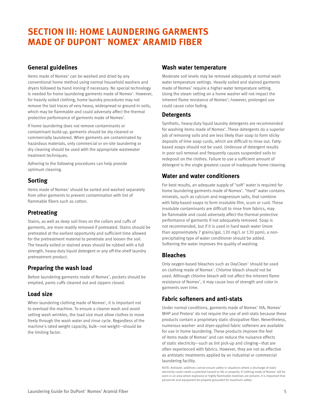## **SECTION III: HOME LAUNDERING GARMENTS MADE OF DUPONT™ NOMEX® ARAMID FIBER**

### **General guidelines**

Items made of Nomex® can be washed and dried by any conventional home method using normal household washers and dryers followed by hand ironing if necessary. No special technology is needed for home laundering garments made of Nomex®. However, for heavily soiled clothing, home laundry procedures may not remove the last traces of very heavy, widespread or ground-in soils, which may be flammable and could adversely affect the thermal protective performance of garments made of Nomex®.

If home laundering does not remove contaminants or contaminant build-up, garments should be dry cleaned or commercially laundered. When garments are contaminated by hazardous materials, only commercial or on-site laundering or dry cleaning should be used with the appropriate wastewater treatment techniques.

Adhering to the following procedures can help provide optimum cleaning.

## **Sorting**

Items made of Nomex® should be sorted and washed separately from other garments to prevent contamination with lint of flammable fibers such as cotton.

#### **Pretreating**

Stains, as well as deep soil lines on the collars and cuffs of garments, are more readily removed if pretreated. Stains should be pretreated at the earliest opportunity and sufficient time allowed for the pretreatment material to penetrate and loosen the soil. The heavily soiled or stained areas should be rubbed with a full strength, heavy-duty liquid detergent or any off-the-shelf laundry pretreatment product.

## **Preparing the wash load**

Before laundering garments made of Nomex® , pockets should be emptied, pants cuffs cleaned out and zippers closed.

## **Load size**

When laundering clothing made of Nomex® , it is important not to overload the machine. To ensure a cleaner wash and avoid setting wash wrinkles, the load size must allow clothes to move freely through the wash water and rinse cycle. Regardless of the machine's rated weight capacity, bulk—not weight—should be the limiting factor.

### **Wash water temperature**

Moderate soil levels may be removed adequately at normal wash water temperature settings. Heavily soiled and stained garments made of Nomex® require a higher water temperature setting. Using the steam setting on a home washer will not impact the inherent flame resistance of Nomex® ; however, prolonged use could cause color fading.

#### **Detergents**

Synthetic, heavy-duty liquid laundry detergents are recommended for washing items made of Nomex®. These detergents do a superior job of removing soils and are less likely than soap to form sticky deposits of lime soap curds, which are difficult to rinse out. Fattybased soaps should not be used. Underuse of detergent results in poor soil removal and frequently causes suspended soils to redeposit on the clothes. Failure to use a sufficient amount of detergent is the single greatest cause of inadequate home cleaning.

### **Water and water conditioners**

For best results, an adequate supply of "soft" water is required for home laundering garments made of Nomex® . "Hard" water contains minerals, such as calcium and magnesium salts, that combine with fatty-based soaps to form insoluble film, scum or curd. These insoluble contaminants are difficult to rinse from fabrics, may be flammable and could adversely affect the thermal protective performance of garments if not adequately removed. Soap is not recommended, but if it is used in hard wash water (more than approximately 7 grains/gal, 120 mg/L or 120 ppm), a nonprecipitating type of water conditioner should be added. Softening the water improves the quality of washing.

#### **Bleaches**

Only oxygen-based bleaches such as OxyClean™ should be used on clothing made of Nomex® . Chlorine bleach should not be used. Although chlorine bleach will not affect the inherent flame resistance of Nomex® , it may cause loss of strength and color in garments over time.

## **Fabric softeners and anti-stats**

Under normal conditions, garments made of Nomex® IIIA, Nomex® MHP and Protera® do not require the use of anti-stats because these products contain a proprietary static-dissipative fiber. Nevertheless, numerous washer- and dryer-applied fabric softeners are available for use in home laundering. These products improve the feel of items made of Nomex® and can reduce the nuisance effects of static electricity—such as lint pick-up and clinging—that are often experienced with fabrics. However, they are not as effective as antistatic treatments applied by an industrial or commercial laundering facility.

NOTE: Antistatic additives cannot ensure safety in situations where a discharge of static electricity could create a potential hazard to life or property. If clothing made of Nomex® will be worn in an area where explosive or highly flammable materials are present, it is important that personnel and equipment be properly grounded for maximum safety.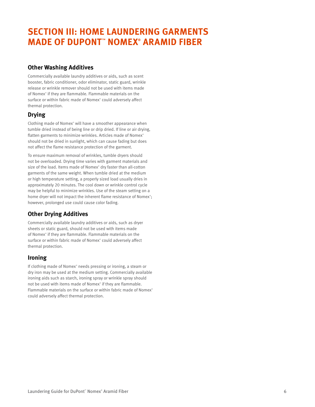## **SECTION III: HOME LAUNDERING GARMENTS MADE OF DUPONT™ NOMEX® ARAMID FIBER**

### **Other Washing Additives**

Commercially available laundry additives or aids, such as scent booster, fabric conditioner, odor eliminator, static guard, wrinkle release or wrinkle remover should not be used with items made of Nomex® if they are flammable. Flammable materials on the surface or within fabric made of Nomex® could adversely affect thermal protection.

## **Drying**

Clothing made of Nomex® will have a smoother appearance when tumble dried instead of being line or drip dried. If line or air drying, flatten garments to minimize wrinkles. Articles made of Nomex® should not be dried in sunlight, which can cause fading but does not affect the flame resistance protection of the garment.

To ensure maximum removal of wrinkles, tumble dryers should not be overloaded. Drying time varies with garment materials and size of the load. Items made of Nomex® dry faster than all-cotton garments of the same weight. When tumble dried at the medium or high temperature setting, a properly sized load usually dries in approximately 20 minutes. The cool down or wrinkle control cycle may be helpful to minimize wrinkles. Use of the steam setting on a home dryer will not impact the inherent flame resistance of Nomex<sup>®</sup>; however, prolonged use could cause color fading.

## **Other Drying Additives**

Commercially available laundry additives or aids, such as dryer sheets or static guard, should not be used with items made of Nomex® if they are flammable. Flammable materials on the surface or within fabric made of Nomex® could adversely affect thermal protection.

## **Ironing**

If clothing made of Nomex® needs pressing or ironing, a steam or dry iron may be used at the medium setting. Commercially available ironing aids such as starch, ironing spray or wrinkle spray should not be used with items made of Nomex® if they are flammable. Flammable materials on the surface or within fabric made of Nomex® could adversely affect thermal protection.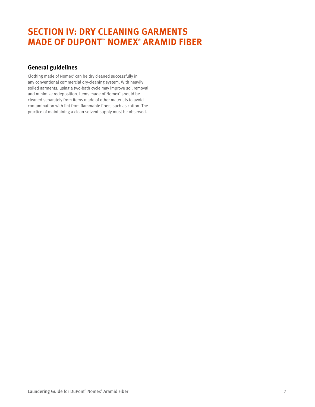## **SECTION IV: DRY CLEANING GARMENTS MADE OF DUPONT™ NOMEX® ARAMID FIBER**

### **General guidelines**

Clothing made of Nomex® can be dry cleaned successfully in any conventional commercial dry-cleaning system. With heavily soiled garments, using a two-bath cycle may improve soil removal and minimize redeposition. Items made of Nomex® should be cleaned separately from items made of other materials to avoid contamination with lint from flammable fibers such as cotton. The practice of maintaining a clean solvent supply must be observed.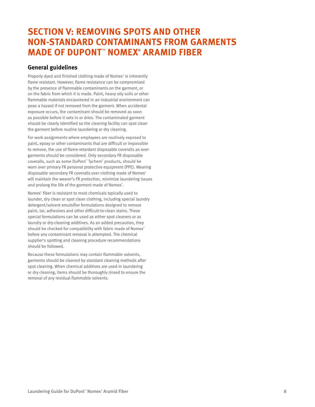## **SECTION V: REMOVING SPOTS AND OTHER NON-STANDARD CONTAMINANTS FROM GARMENTS MADE OF DUPONT™ NOMEX® ARAMID FIBER**

#### **General guidelines**

Properly dyed and finished clothing made of Nomex® is inherently flame resistant. However, flame resistance can be compromised by the presence of flammable contaminants on the garment, or on the fabric from which it is made. Paint, heavy oily soils or other flammable materials encountered in an industrial environment can pose a hazard if not removed from the garment. When accidental exposure occurs, the contaminant should be removed as soon as possible before it sets in or dries. The contaminated garment should be clearly identified so the cleaning facility can spot clean the garment before routine laundering or dry cleaning.

For work assignments where employees are routinely exposed to paint, epoxy or other contaminants that are difficult or impossible to remove, the use of flame-retardant disposable coveralls as overgarments should be considered. Only secondary FR disposable coveralls, such as some DuPont™ Tychem® products, should be worn over primary FR personal protective equipment (PPE). Wearing disposable secondary FR coveralls over clothing made of Nomex® will maintain the wearer's FR protection, minimize laundering issues and prolong the life of the garment made of Nomex®.

Nomex® fiber is resistant to most chemicals typically used to launder, dry clean or spot clean clothing, including special laundry detergent/solvent emulsifier formulations designed to remove paint, tar, adhesives and other difficult-to-clean stains. These special formulations can be used as either spot cleaners or as laundry or dry-cleaning additives. As an added precaution, they should be checked for compatibility with fabric made of Nomex® before any contaminant removal is attempted. The chemical supplier's spotting and cleaning procedure recommendations should be followed.

Because these formulations may contain flammable solvents, garments should be cleaned by standard cleaning methods after spot cleaning. When chemical additives are used in laundering or dry cleaning, items should be thoroughly rinsed to ensure the removal of any residual flammable solvents.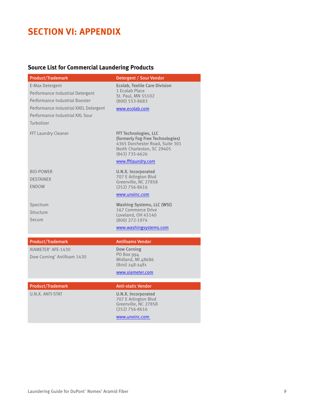## **SECTION VI: APPENDIX**

## **Source List for Commercial Laundering Products**

| <b>Product/Trademark</b>                                                                                                                                                        | Detergent / Sour Vendor                                                                                                                                              |
|---------------------------------------------------------------------------------------------------------------------------------------------------------------------------------|----------------------------------------------------------------------------------------------------------------------------------------------------------------------|
| E-Max Detergent<br>Performance Industrial Detergent<br>Performance Industrial Booster<br>Performance Industrial XXEL Detergent<br>Performance Industrial XXL Sour<br>Turbolizer | <b>Ecolab, Textile Care Division</b><br>1 Ecolab Place<br>St. Paul, MN 55102<br>$(800)$ 553-8683<br>www.ecolab.com                                                   |
| FFT Laundry Cleaner                                                                                                                                                             | FFT Technologies, LLC<br>(formerly Fog Free Technologies)<br>4365 Dorchester Road, Suite 301<br>North Charleston, SC 29405<br>$(843)$ 735-6626<br>www.fftlaundry.com |
| <b>BIO-POWER</b><br><b>DESTAINEX</b><br><b>ENDOW</b>                                                                                                                            | U.N.X. Incorporated<br>707 E Arlington Blvd<br>Greenville, NC 27858<br>$(252)$ 756-8616<br>www.unxinc.com                                                            |
| Spectrum<br>Structure<br>Secure                                                                                                                                                 | <b>Washing Systems, LLC (WSI)</b><br>167 Commerce Drive<br>Loveland, OH 45140<br>$(800)$ 272-1974<br>www.washingsystems.com                                          |
|                                                                                                                                                                                 |                                                                                                                                                                      |
| <b>Product/Trademark</b><br>XIAMETER <sup>®</sup> AFE-1430<br>Dow Corning <sup>®</sup> Antifoam 1430                                                                            | <b>Antifoams Vendor</b><br><b>Dow Corning</b><br>PO Box 994<br>Midland, MI 48686<br>$(800)$ 248-2481                                                                 |
|                                                                                                                                                                                 | www.xiameter.com                                                                                                                                                     |
| <b>Product/Trademark</b>                                                                                                                                                        | <b>Anti-static Vendor</b>                                                                                                                                            |
| U.N.X. ANTI-STAT                                                                                                                                                                | U.N.X. Incorporated<br>707 E Arlington Blvd<br>Greenville, NC 27858<br>$(252)$ 756-8616                                                                              |
|                                                                                                                                                                                 | www.unxinc.com                                                                                                                                                       |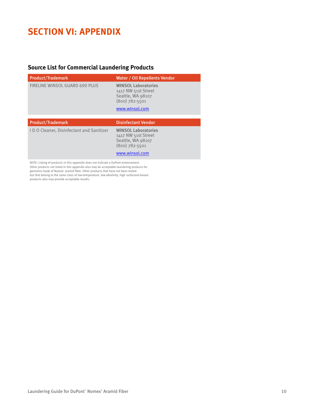## **SECTION VI: APPENDIX**

### **Source List for Commercial Laundering Products**

| <b>Product/Trademark</b>                       | Water / Oil Repellents Vendor                                                                                |
|------------------------------------------------|--------------------------------------------------------------------------------------------------------------|
| FIRELINE WINSOL GUARD 690 PLUS                 | <b>WINSOL Laboratories</b><br>1417 NW 51st Street<br>Seattle, WA 98107<br>$(800)$ 782-5501<br>www.winsol.com |
|                                                |                                                                                                              |
| <b>Product/Trademark</b>                       | <b>Disinfectant Vendor</b>                                                                                   |
| <b>IDO Cleaner, Disinfectant and Sanitizer</b> |                                                                                                              |

NOTE: Listing of products in this appendix does not indicate a DuPont endorsement. Other products not listed in this appendix also may be acceptable laundering products for garments made of Nomex® aramid fiber. Other products that have not been tested but that belong to the same class of low-temperature, low-alkalinity, high surfactant-based products also may provide acceptable results.